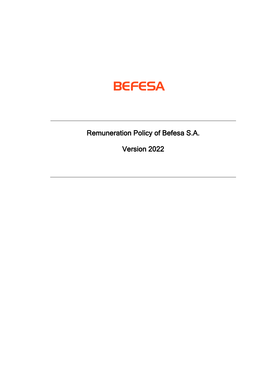

Remuneration Policy of Befesa S.A.

Version 2022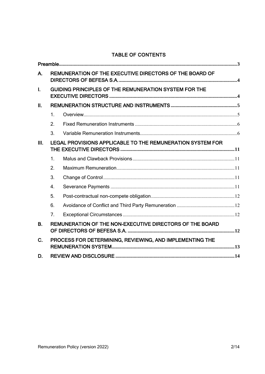# TABLE OF CONTENTS

| А.          | REMUNERATION OF THE EXECUTIVE DIRECTORS OF THE BOARD OF    |  |  |  |
|-------------|------------------------------------------------------------|--|--|--|
| T.          | GUIDING PRINCIPLES OF THE REMUNERATION SYSTEM FOR THE      |  |  |  |
| Π.          |                                                            |  |  |  |
|             | $\mathbf{1}$ .                                             |  |  |  |
|             | 2.                                                         |  |  |  |
|             | 3.                                                         |  |  |  |
| III.        | LEGAL PROVISIONS APPLICABLE TO THE REMUNERATION SYSTEM FOR |  |  |  |
|             | $\mathbf{1}$ .                                             |  |  |  |
|             | 2.                                                         |  |  |  |
|             | 3.                                                         |  |  |  |
|             | $\overline{4}$ .                                           |  |  |  |
|             | 5.                                                         |  |  |  |
|             | 6.                                                         |  |  |  |
|             | 7 <sub>1</sub>                                             |  |  |  |
| <b>B.</b>   | REMUNERATION OF THE NON-EXECUTIVE DIRECTORS OF THE BOARD   |  |  |  |
| $C_{\cdot}$ | PROCESS FOR DETERMINING, REVIEWING, AND IMPLEMENTING THE   |  |  |  |
| D.          |                                                            |  |  |  |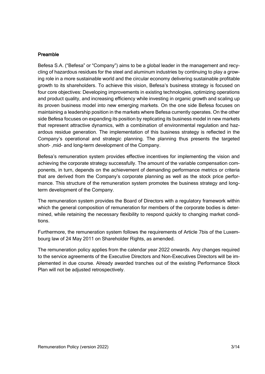#### <span id="page-2-0"></span>Preamble

Befesa S.A. ("Befesa" or "Company") aims to be a global leader in the management and recycling of hazardous residues for the steel and aluminum industries by continuing to play a growing role in a more sustainable world and the circular economy delivering sustainable profitable growth to its shareholders. To achieve this vision, Befesa's business strategy is focused on four core objectives: Developing improvements in existing technologies, optimizing operations and product quality, and increasing efficiency while investing in organic growth and scaling up its proven business model into new emerging markets. On the one side Befesa focuses on maintaining a leadership position in the markets where Befesa currently operates. On the other side Befesa focuses on expanding its position by replicating its business model in new markets that represent attractive dynamics, with a combination of environmental regulation and hazardous residue generation. The implementation of this business strategy is reflected in the Company's operational and strategic planning. The planning thus presents the targeted short- ,mid- and long-term development of the Company.

Befesa's remuneration system provides effective incentives for implementing the vision and achieving the corporate strategy successfully. The amount of the variable compensation components, in turn, depends on the achievement of demanding performance metrics or criteria that are derived from the Company's corporate planning as well as the stock price performance. This structure of the remuneration system promotes the business strategy and longterm development of the Company.

The remuneration system provides the Board of Directors with a regulatory framework within which the general composition of remuneration for members of the corporate bodies is determined, while retaining the necessary flexibility to respond quickly to changing market conditions.

Furthermore, the remuneration system follows the requirements of Article 7bis of the Luxembourg law of 24 May 2011 on Shareholder Rights, as amended.

The remuneration policy applies from the calendar year 2022 onwards. Any changes required to the service agreements of the Executive Directors and Non-Executives Directors will be implemented in due course. Already awarded tranches out of the existing Performance Stock Plan will not be adjusted retrospectively.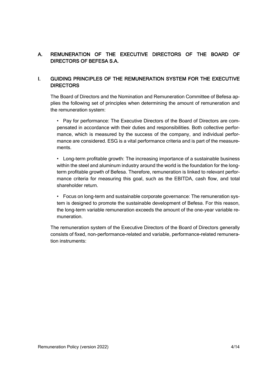## <span id="page-3-0"></span>A. REMUNERATION OF THE EXECUTIVE DIRECTORS OF THE BOARD OF DIRECTORS OF BEFESA S.A.

### <span id="page-3-1"></span>I. GUIDING PRINCIPLES OF THE REMUNERATION SYSTEM FOR THE EXECUTIVE **DIRECTORS**

The Board of Directors and the Nomination and Remuneration Committee of Befesa applies the following set of principles when determining the amount of remuneration and the remuneration system:

• Pay for performance: The Executive Directors of the Board of Directors are compensated in accordance with their duties and responsibilities. Both collective performance, which is measured by the success of the company, and individual performance are considered. ESG is a vital performance criteria and is part of the measurements.

• Long-term profitable growth: The increasing importance of a sustainable business within the steel and aluminum industry around the world is the foundation for the longterm profitable growth of Befesa. Therefore, remuneration is linked to relevant performance criteria for measuring this goal, such as the EBITDA, cash flow, and total shareholder return.

• Focus on long-term and sustainable corporate governance: The remuneration system is designed to promote the sustainable development of Befesa. For this reason, the long-term variable remuneration exceeds the amount of the one-year variable remuneration.

The remuneration system of the Executive Directors of the Board of Directors generally consists of fixed, non-performance-related and variable, performance-related remuneration instruments: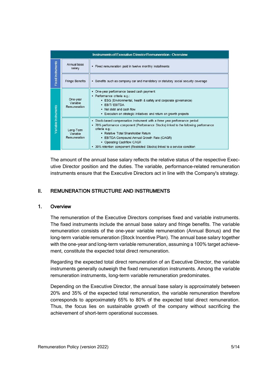| <b>Instruments of Executive Director Remuneration - Overview</b> |                                       |                                                                                                                                                                                                                                                                                                                                                                                        |  |  |
|------------------------------------------------------------------|---------------------------------------|----------------------------------------------------------------------------------------------------------------------------------------------------------------------------------------------------------------------------------------------------------------------------------------------------------------------------------------------------------------------------------------|--|--|
| <b>Fixed Instruments</b>                                         | Annual base<br>salary                 | . Fixed remuneration paid in twelve monthly installments                                                                                                                                                                                                                                                                                                                               |  |  |
|                                                                  | <b>Fringe Benefits</b>                | • Benefits such as company car and mandatory or statutory social security coverage                                                                                                                                                                                                                                                                                                     |  |  |
|                                                                  | One-year<br>Variable<br>Remuneration  | • One-year performance based cash payment<br>· Performance criteria e.g.:<br>• ESG (Environmental, health & safety and corporate governance)<br>· EBIT/EBITDA<br>. Net debt and cash flow<br>. Execution on strategic initiatives and return on growth projects                                                                                                                        |  |  |
| Variable Instruments                                             | Long-Term<br>Variable<br>Remuneration | • Stock-based compensation instrument with a three year performance period<br>• 70% performance component (Performance Stocks) linked to the following performance<br>criteria e.g.:<br>• Relative Total Shareholder Return<br>• EBITDA Compound Annual Growth Rate (CAGR)<br>• Operating Cashflow CAGR<br>• 30% retention component (Restricted Stocks) linked to a service condition |  |  |

The amount of the annual base salary reflects the relative status of the respective Executive Director position and the duties. The variable, performance-related remuneration instruments ensure that the Executive Directors act in line with the Company's strategy.

## <span id="page-4-0"></span>II. REMUNERATION STRUCTURE AND INSTRUMENTS

#### <span id="page-4-1"></span>1. Overview

The remuneration of the Executive Directors comprises fixed and variable instruments. The fixed instruments include the annual base salary and fringe benefits. The variable remuneration consists of the one-year variable remuneration (Annual Bonus) and the long-term variable remuneration (Stock Incentive Plan). The annual base salary together with the one-year and long-term variable remuneration, assuming a 100% target achievement, constitute the expected total direct remuneration.

Regarding the expected total direct remuneration of an Executive Director, the variable instruments generally outweigh the fixed remuneration instruments. Among the variable remuneration instruments, long-term variable remuneration predominates.

Depending on the Executive Director, the annual base salary is approximately between 20% and 35% of the expected total remuneration, the variable remuneration therefore corresponds to approximately 65% to 80% of the expected total direct remuneration. Thus, the focus lies on sustainable growth of the company without sacrificing the achievement of short-term operational successes.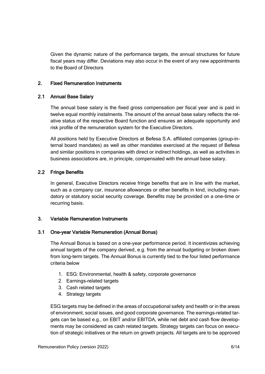Given the dynamic nature of the performance targets, the annual structures for future fiscal years may differ. Deviations may also occur in the event of any new appointments to the Board of Directors

#### <span id="page-5-0"></span>2. Fixed Remuneration Instruments

#### 2.1 Annual Base Salary

The annual base salary is the fixed gross compensation per fiscal year and is paid in twelve equal monthly instalments. The amount of the annual base salary reflects the relative status of the respective Board function and ensures an adequate opportunity and risk profile of the remuneration system for the Executive Directors.

All positions held by Executive Directors at Befesa S.A. affiliated companies (group-internal board mandates) as well as other mandates exercised at the request of Befesa and similar positions in companies with direct or indirect holdings, as well as activities in business associations are, in principle, compensated with the annual base salary.

### 2.2 Fringe Benefits

In general, Executive Directors receive fringe benefits that are in line with the market, such as a company car, insurance allowances or other benefits in kind, including mandatory or statutory social security coverage. Benefits may be provided on a one-time or recurring basis.

#### <span id="page-5-1"></span>3. Variable Remuneration Instruments

#### 3.1 One-year Variable Remuneration (Annual Bonus)

The Annual Bonus is based on a one-year performance period. It incentivizes achieving annual targets of the company derived, e.g. from the annual budgeting or broken down from long-term targets. The Annual Bonus is currently tied to the four listed performance criteria below

- 1. ESG: Environmental, health & safety, corporate governance
- 2. Earnings-related targets
- 3. Cash related targets
- 4. Strategy targets

ESG targets may be defined in the areas of occupational safety and health or in the areas of environment, social issues, and good corporate governance. The earnings-related targets can be based e.g., on EBIT and/or EBITDA, while net debt and cash flow developments may be considered as cash related targets. Strategy targets can focus on execution of strategic initiatives or the return on growth projects. All targets are to be approved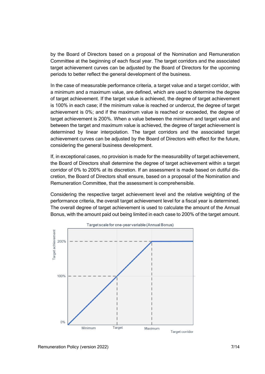by the Board of Directors based on a proposal of the Nomination and Remuneration Committee at the beginning of each fiscal year. The target corridors and the associated target achievement curves can be adjusted by the Board of Directors for the upcoming periods to better reflect the general development of the business.

In the case of measurable performance criteria, a target value and a target corridor, with a minimum and a maximum value, are defined, which are used to determine the degree of target achievement. If the target value is achieved, the degree of target achievement is 100% in each case; if the minimum value is reached or undercut, the degree of target achievement is 0%; and if the maximum value is reached or exceeded, the degree of target achievement is 200%. When a value between the minimum and target value and between the target and maximum value is achieved, the degree of target achievement is determined by linear interpolation. The target corridors and the associated target achievement curves can be adjusted by the Board of Directors with effect for the future, considering the general business development.

If, in exceptional cases, no provision is made for the measurability of target achievement, the Board of Directors shall determine the degree of target achievement within a target corridor of 0% to 200% at its discretion. If an assessment is made based on dutiful discretion, the Board of Directors shall ensure, based on a proposal of the Nomination and Remuneration Committee, that the assessment is comprehensible.

Considering the respective target achievement level and the relative weighting of the performance criteria, the overall target achievement level for a fiscal year is determined. The overall degree of target achievement is used to calculate the amount of the Annual Bonus, with the amount paid out being limited in each case to 200% of the target amount.

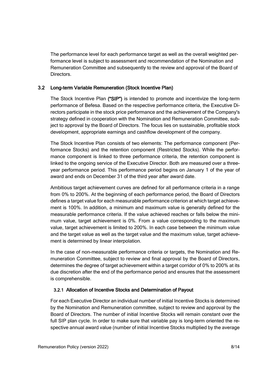The performance level for each performance target as well as the overall weighted performance level is subject to assessment and recommendation of the Nomination and Remuneration Committee and subsequently to the review and approval of the Board of Directors.

### 3.2 Long-term Variable Remuneration (Stock Incentive Plan)

The Stock Incentive Plan ("SIP") is intended to promote and incentivize the long-term performance of Befesa. Based on the respective performance criteria, the Executive Directors participate in the stock price performance and the achievement of the Company's strategy defined in cooperation with the Nomination and Remuneration Committee, subject to approval by the Board of Directors. The focus lies on sustainable, profitable stock development, appropriate earnings and cashflow development of the company.

The Stock Incentive Plan consists of two elements: The performance component (Performance Stocks) and the retention component (Restricted Stocks). While the performance component is linked to three performance criteria, the retention component is linked to the ongoing service of the Executive Director. Both are measured over a threeyear performance period. This performance period begins on January 1 of the year of award and ends on December 31 of the third year after award date.

Ambitious target achievement curves are defined for all performance criteria in a range from 0% to 200%. At the beginning of each performance period, the Board of Directors defines a target value for each measurable performance criterion at which target achievement is 100%. In addition, a minimum and maximum value is generally defined for the measurable performance criteria. If the value achieved reaches or falls below the minimum value, target achievement is 0%. From a value corresponding to the maximum value, target achievement is limited to 200%. In each case between the minimum value and the target value as well as the target value and the maximum value, target achievement is determined by linear interpolation.

In the case of non-measurable performance criteria or targets, the Nomination and Remuneration Committee, subject to review and final approval by the Board of Directors, determines the degree of target achievement within a target corridor of 0% to 200% at its due discretion after the end of the performance period and ensures that the assessment is comprehensible.

#### 3.2.1 Allocation of Incentive Stocks and Determination of Payout

For each Executive Director an individual number of initial Incentive Stocks is determined by the Nomination and Remuneration committee, subject to review and approval by the Board of Directors. The number of initial Incentive Stocks will remain constant over the full SIP plan cycle. In order to make sure that variable pay is long-term oriented the respective annual award value (number of initial Incentive Stocks multiplied by the average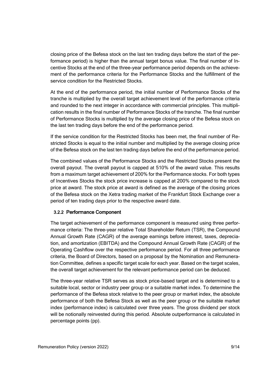closing price of the Befesa stock on the last ten trading days before the start of the performance period) is higher than the annual target bonus value. The final number of Incentive Stocks at the end of the three-year performance period depends on the achievement of the performance criteria for the Performance Stocks and the fulfillment of the service condition for the Restricted Stocks.

At the end of the performance period, the initial number of Performance Stocks of the tranche is multiplied by the overall target achievement level of the performance criteria and rounded to the next integer in accordance with commercial principles. This multiplication results in the final number of Performance Stocks of the tranche. The final number of Performance Stocks is multiplied by the average closing price of the Befesa stock on the last ten trading days before the end of the performance period.

If the service condition for the Restricted Stocks has been met, the final number of Restricted Stocks is equal to the initial number and multiplied by the average closing price of the Befesa stock on the last ten trading days before the end of the performance period.

The combined values of the Performance Stocks and the Restricted Stocks present the overall payout. The overall payout is capped at 510% of the award value. This results from a maximum target achievement of 200% for the Performance stocks. For both types of Incentives Stocks the stock price increase is capped at 200% compared to the stock price at award. The stock price at award is defined as the average of the closing prices of the Befesa stock on the Xetra trading market of the Frankfurt Stock Exchange over a period of ten trading days prior to the respective award date.

### 3.2.2 Performance Component

The target achievement of the performance component is measured using three performance criteria: The three-year relative Total Shareholder Return (TSR), the Compound Annual Growth Rate (CAGR) of the average earnings before interest, taxes, depreciation, and amortization (EBITDA) and the Compound Annual Growth Rate (CAGR) of the Operating Cashflow over the respective performance period. For all three performance criteria, the Board of Directors, based on a proposal by the Nomination and Remuneration Committee, defines a specific target scale for each year. Based on the target scales, the overall target achievement for the relevant performance period can be deduced.

The three-year relative TSR serves as stock price-based target and is determined to a suitable local, sector or industry peer group or a suitable market index. To determine the performance of the Befesa stock relative to the peer group or market index, the absolute performance of both the Befesa Stock as well as the peer group or the suitable market index (performance index) is calculated over three years. The gross dividend per stock will be notionally reinvested during this period. Absolute outperformance is calculated in percentage points (pp).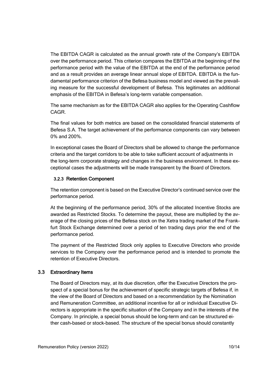The EBITDA CAGR is calculated as the annual growth rate of the Company's EBITDA over the performance period. This criterion compares the EBITDA at the beginning of the performance period with the value of the EBITDA at the end of the performance period and as a result provides an average linear annual slope of EBITDA. EBITDA is the fundamental performance criterion of the Befesa business model and viewed as the prevailing measure for the successful development of Befesa. This legitimates an additional emphasis of the EBITDA in Befesa's long-term variable compensation.

The same mechanism as for the EBITDA CAGR also applies for the Operating Cashflow CAGR.

The final values for both metrics are based on the consolidated financial statements of Befesa S.A. The target achievement of the performance components can vary between 0% and 200%.

In exceptional cases the Board of Directors shall be allowed to change the performance criteria and the target corridors to be able to take sufficient account of adjustments in the long-term corporate strategy and changes in the business environment. In these exceptional cases the adjustments will be made transparent by the Board of Directors.

### 3.2.3 Retention Component

The retention component is based on the Executive Director's continued service over the performance period.

At the beginning of the performance period, 30% of the allocated Incentive Stocks are awarded as Restricted Stocks. To determine the payout, these are multiplied by the average of the closing prices of the Befesa stock on the Xetra trading market of the Frankfurt Stock Exchange determined over a period of ten trading days prior the end of the performance period.

The payment of the Restricted Stock only applies to Executive Directors who provide services to the Company over the performance period and is intended to promote the retention of Executive Directors.

#### 3.3 Extraordinary Items

The Board of Directors may, at its due discretion, offer the Executive Directors the prospect of a special bonus for the achievement of specific strategic targets of Befesa if, in the view of the Board of Directors and based on a recommendation by the Nomination and Remuneration Committee, an additional incentive for all or individual Executive Directors is appropriate in the specific situation of the Company and in the interests of the Company. In principle, a special bonus should be long-term and can be structured either cash-based or stock-based. The structure of the special bonus should constantly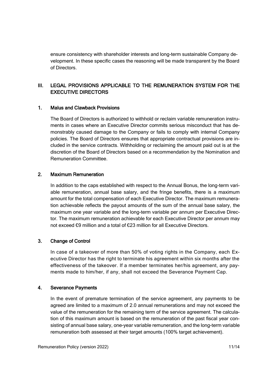ensure consistency with shareholder interests and long-term sustainable Company development. In these specific cases the reasoning will be made transparent by the Board of Directors.

## <span id="page-10-0"></span>III. LEGAL PROVISIONS APPLICABLE TO THE REMUNERATION SYSTEM FOR THE EXECUTIVE DIRECTORS

#### <span id="page-10-1"></span>1. Malus and Clawback Provisions

The Board of Directors is authorized to withhold or reclaim variable remuneration instruments in cases where an Executive Director commits serious misconduct that has demonstrably caused damage to the Company or fails to comply with internal Company policies. The Board of Directors ensures that appropriate contractual provisions are included in the service contracts. Withholding or reclaiming the amount paid out is at the discretion of the Board of Directors based on a recommendation by the Nomination and Remuneration Committee.

#### <span id="page-10-2"></span>2. Maximum Remuneration

In addition to the caps established with respect to the Annual Bonus, the long-term variable remuneration, annual base salary, and the fringe benefits, there is a maximum amount for the total compensation of each Executive Director. The maximum remuneration achievable reflects the payout amounts of the sum of the annual base salary, the maximum one year variable and the long-term variable per annum per Executive Director. The maximum remuneration achievable for each Executive Director per annum may not exceed €9 million and a total of €23 million for all Executive Directors.

### <span id="page-10-3"></span>3. Change of Control

In case of a takeover of more than 50% of voting rights in the Company, each Executive Director has the right to terminate his agreement within six months after the effectiveness of the takeover. If a member terminates her/his agreement, any payments made to him/her, if any, shall not exceed the Severance Payment Cap.

#### <span id="page-10-4"></span>4. Severance Payments

In the event of premature termination of the service agreement, any payments to be agreed are limited to a maximum of 2.0 annual remunerations and may not exceed the value of the remuneration for the remaining term of the service agreement. The calculation of this maximum amount is based on the remuneration of the past fiscal year consisting of annual base salary, one-year variable remuneration, and the long-term variable remuneration both assessed at their target amounts (100% target achievement).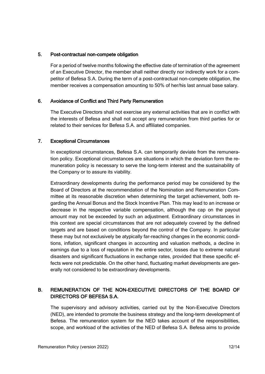#### <span id="page-11-0"></span>5. Post-contractual non-compete obligation

For a period of twelve months following the effective date of termination of the agreement of an Executive Director, the member shall neither directly nor indirectly work for a competitor of Befesa S.A. During the term of a post-contractual non-compete obligation, the member receives a compensation amounting to 50% of her/his last annual base salary.

#### <span id="page-11-1"></span>6. Avoidance of Conflict and Third Party Remuneration

The Executive Directors shall not exercise any external activities that are in conflict with the interests of Befesa and shall not accept any remuneration from third parties for or related to their services for Befesa S.A. and affiliated companies.

#### <span id="page-11-2"></span>7. Exceptional Circumstances

In exceptional circumstances, Befesa S.A. can temporarily deviate from the remuneration policy. Exceptional circumstances are situations in which the deviation form the remuneration policy is necessary to serve the long-term interest and the sustainability of the Company or to assure its viability.

Extraordinary developments during the performance period may be considered by the Board of Directors at the recommendation of the Nomination and Remuneration Committee at its reasonable discretion when determining the target achievement, both regarding the Annual Bonus and the Stock Incentive Plan. This may lead to an increase or decrease in the respective variable compensation, although the cap on the payout amount may not be exceeded by such an adjustment. Extraordinary circumstances in this context are special circumstances that are not adequately covered by the defined targets and are based on conditions beyond the control of the Company. In particular these may but not exclusively be atypically far-reaching changes in the economic conditions, inflation, significant changes in accounting and valuation methods, a decline in earnings due to a loss of reputation in the entire sector, losses due to extreme natural disasters and significant fluctuations in exchange rates, provided that these specific effects were not predictable. On the other hand, fluctuating market developments are generally not considered to be extraordinary developments.

### <span id="page-11-3"></span>B. REMUNERATION OF THE NON-EXECUTIVE DIRECTORS OF THE BOARD OF DIRECTORS OF BEFESA S.A.

The supervisory and advisory activities, carried out by the Non-Executive Directors (NED), are intended to promote the business strategy and the long-term development of Befesa. The remuneration system for the NED takes account of the responsibilities, scope, and workload of the activities of the NED of Befesa S.A. Befesa aims to provide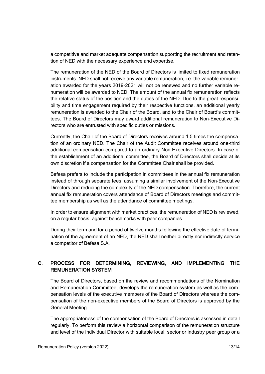a competitive and market adequate compensation supporting the recruitment and retention of NED with the necessary experience and expertise.

The remuneration of the NED of the Board of Directors is limited to fixed remuneration instruments. NED shall not receive any variable remuneration, i.e. the variable remuneration awarded for the years 2019-2021 will not be renewed and no further variable renumeration will be awarded to NED. The amount of the annual fix remuneration reflects the relative status of the position and the duties of the NED. Due to the great responsibility and time engagement required by their respective functions, an additional yearly remuneration is awarded to the Chair of the Board, and to the Chair of Board's committees. The Board of Directors may award additional remuneration to Non-Executive Directors who are entrusted with specific duties or missions.

Currently, the Chair of the Board of Directors receives around 1.5 times the compensation of an ordinary NED. The Chair of the Audit Committee receives around one-third additional compensation compared to an ordinary Non-Executive Directors. In case of the establishment of an additional committee, the Board of Directors shall decide at its own discretion if a compensation for the Committee Chair shall be provided.

Befesa prefers to include the participation in committees in the annual fix remuneration instead of through separate fees, assuming a similar involvement of the Non-Executive Directors and reducing the complexity of the NED compensation. Therefore, the current annual fix remuneration covers attendance of Board of Directors meetings and committee membership as well as the attendance of committee meetings.

In order to ensure alignment with market practices, the remuneration of NED is reviewed, on a regular basis, against benchmarks with peer companies.

During their term and for a period of twelve months following the effective date of termination of the agreement of an NED, the NED shall neither directly nor indirectly service a competitor of Befesa S.A.

## <span id="page-12-0"></span>C. PROCESS FOR DETERMINING, REVIEWING, AND IMPLEMENTING THE REMUNERATION SYSTEM

The Board of Directors, based on the review and recommendations of the Nomination and Remuneration Committee, develops the remuneration system as well as the compensation levels of the executive members of the Board of Directors whereas the compensation of the non-executive members of the Board of Directors is approved by the General Meeting.

The appropriateness of the compensation of the Board of Directors is assessed in detail regularly. To perform this review a horizontal comparison of the remuneration structure and level of the individual Director with suitable local, sector or industry peer group or a